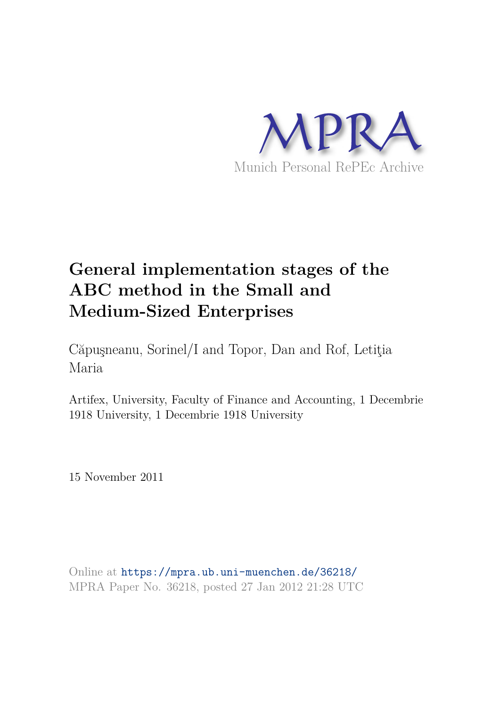

# **General implementation stages of the ABC method in the Small and Medium-Sized Enterprises**

Căpuşneanu, Sorinel/I and Topor, Dan and Rof, Letiţia Maria

Artifex, University, Faculty of Finance and Accounting, 1 Decembrie 1918 University, 1 Decembrie 1918 University

15 November 2011

Online at https://mpra.ub.uni-muenchen.de/36218/ MPRA Paper No. 36218, posted 27 Jan 2012 21:28 UTC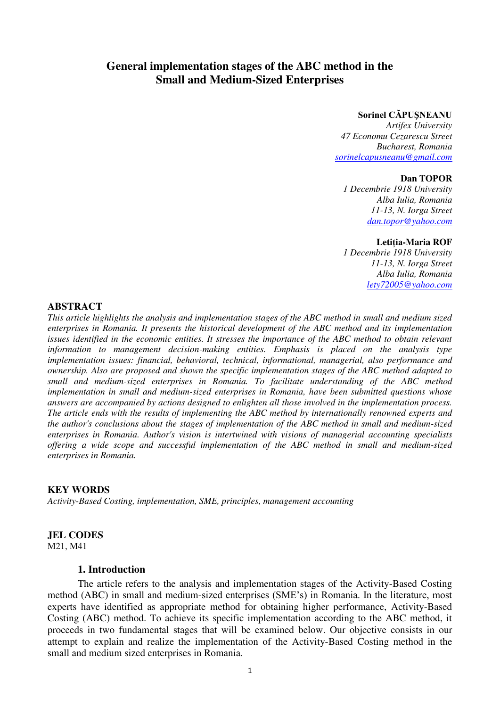## **General implementation stages of the ABC method in the Small and Medium-Sized Enterprises**

## **Sorinel CĂPUŞNEANU**

*Artifex University 47 Economu Cezarescu Street Bucharest, Romania [sorinelcapusneanu@gmail.com](mailto:sorinelcapusneanu@gmail.com)*

#### **Dan TOPOR**

*1 Decembrie 1918 University Alba Iulia, Romania 11-13, N. Iorga Street [dan.topor@yahoo.com](mailto:dan.topor@yahoo.com)*

#### **Letiţia-Maria ROF**

*1 Decembrie 1918 University 11-13, N. Iorga Street Alba Iulia, Romania [lety72005@yahoo.com](mailto:lety72005@yahoo.com)* 

## **ABSTRACT**

*This article highlights the analysis and implementation stages of the ABC method in small and medium sized enterprises in Romania. It presents the historical development of the ABC method and its implementation issues identified in the economic entities. It stresses the importance of the ABC method to obtain relevant information to management decision-making entities. Emphasis is placed on the analysis type implementation issues: financial, behavioral, technical, informational, managerial, also performance and ownership. Also are proposed and shown the specific implementation stages of the ABC method adapted to small and medium-sized enterprises in Romania. To facilitate understanding of the ABC method implementation in small and medium-sized enterprises in Romania, have been submitted questions whose answers are accompanied by actions designed to enlighten all those involved in the implementation process. The article ends with the results of implementing the ABC method by internationally renowned experts and the author's conclusions about the stages of implementation of the ABC method in small and medium-sized enterprises in Romania. Author's vision is intertwined with visions of managerial accounting specialists offering a wide scope and successful implementation of the ABC method in small and medium-sized enterprises in Romania.* 

## **KEY WORDS**

*Activity-Based Costing, implementation, SME, principles, management accounting*

## **JEL CODES**

M21, M41

## **1. Introduction**

 The article refers to the analysis and implementation stages of the Activity-Based Costing method (ABC) in small and medium-sized enterprises (SME's) in Romania. In the literature, most experts have identified as appropriate method for obtaining higher performance, Activity-Based Costing (ABC) method. To achieve its specific implementation according to the ABC method, it proceeds in two fundamental stages that will be examined below. Our objective consists in our attempt to explain and realize the implementation of the Activity-Based Costing method in the small and medium sized enterprises in Romania.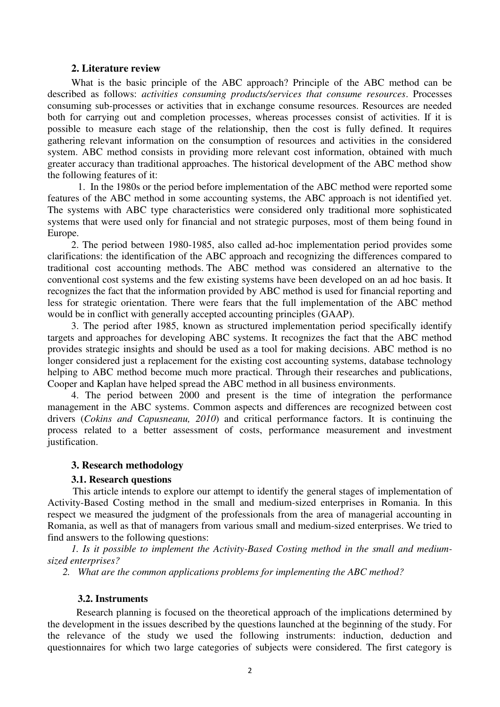## **2. Literature review**

What is the basic principle of the ABC approach? Principle of the ABC method can be described as follows: *activities consuming products/services that consume resources*. Processes consuming sub-processes or activities that in exchange consume resources. Resources are needed both for carrying out and completion processes, whereas processes consist of activities. If it is possible to measure each stage of the relationship, then the cost is fully defined. It requires gathering relevant information on the consumption of resources and activities in the considered system. ABC method consists in providing more relevant cost information, obtained with much greater accuracy than traditional approaches. The historical development of the ABC method show the following features of it:

 1. In the 1980s or the period before implementation of the ABC method were reported some features of the ABC method in some accounting systems, the ABC approach is not identified yet. The systems with ABC type characteristics were considered only traditional more sophisticated systems that were used only for financial and not strategic purposes, most of them being found in Europe.

2. The period between 1980-1985, also called ad-hoc implementation period provides some clarifications: the identification of the ABC approach and recognizing the differences compared to traditional cost accounting methods. The ABC method was considered an alternative to the conventional cost systems and the few existing systems have been developed on an ad hoc basis. It recognizes the fact that the information provided by ABC method is used for financial reporting and less for strategic orientation. There were fears that the full implementation of the ABC method would be in conflict with generally accepted accounting principles (GAAP).

3. The period after 1985, known as structured implementation period specifically identify targets and approaches for developing ABC systems. It recognizes the fact that the ABC method provides strategic insights and should be used as a tool for making decisions. ABC method is no longer considered just a replacement for the existing cost accounting systems, database technology helping to ABC method become much more practical. Through their researches and publications, Cooper and Kaplan have helped spread the ABC method in all business environments.

4. The period between 2000 and present is the time of integration the performance management in the ABC systems. Common aspects and differences are recognized between cost drivers (*Cokins and Capusneanu, 2010*) and critical performance factors. It is continuing the process related to a better assessment of costs, performance measurement and investment justification.

## **3. Research methodology**

## **3.1. Research questions**

 This article intends to explore our attempt to identify the general stages of implementation of Activity-Based Costing method in the small and medium-sized enterprises in Romania. In this respect we measured the judgment of the professionals from the area of managerial accounting in Romania, as well as that of managers from various small and medium-sized enterprises. We tried to find answers to the following questions:

*1. Is it possible to implement the Activity-Based Costing method in the small and mediumsized enterprises?* 

*2. What are the common applications problems for implementing the ABC method?* 

## **3.2. Instruments**

 Research planning is focused on the theoretical approach of the implications determined by the development in the issues described by the questions launched at the beginning of the study. For the relevance of the study we used the following instruments: induction, deduction and questionnaires for which two large categories of subjects were considered. The first category is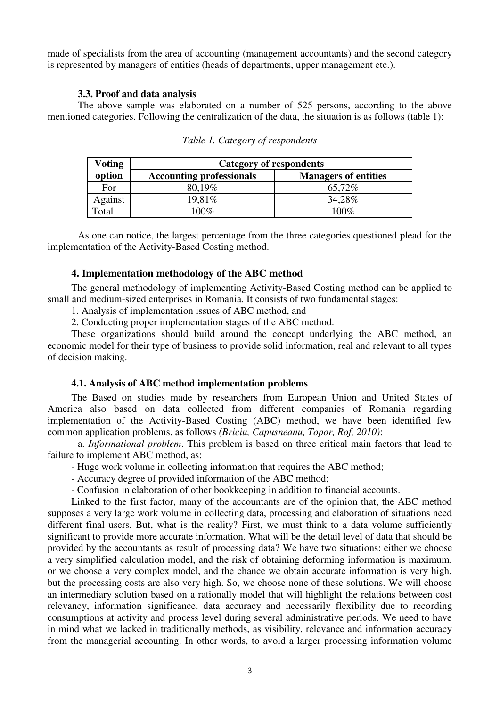made of specialists from the area of accounting (management accountants) and the second category is represented by managers of entities (heads of departments, upper management etc.).

#### **3.3. Proof and data analysis**

The above sample was elaborated on a number of 525 persons, according to the above mentioned categories. Following the centralization of the data, the situation is as follows (table 1):

| <b>Voting</b> | <b>Category of respondents</b>  |                             |
|---------------|---------------------------------|-----------------------------|
| option        | <b>Accounting professionals</b> | <b>Managers of entities</b> |
| For           | 80.19%                          | 65,72%                      |
| Against       | 19,81\%                         | 34,28%                      |
| Total         | 100%                            | $100\%$                     |

 As one can notice, the largest percentage from the three categories questioned plead for the implementation of the Activity-Based Costing method.

## **4. Implementation methodology of the ABC method**

The general methodology of implementing Activity-Based Costing method can be applied to small and medium-sized enterprises in Romania. It consists of two fundamental stages:

1. Analysis of implementation issues of ABC method, and

2. Conducting proper implementation stages of the ABC method.

These organizations should build around the concept underlying the ABC method, an economic model for their type of business to provide solid information, real and relevant to all types of decision making.

## **4.1. Analysis of ABC method implementation problems**

The Based on studies made by researchers from European Union and United States of America also based on data collected from different companies of Romania regarding implementation of the Activity-Based Costing (ABC) method, we have been identified few common application problems, as follows *(Briciu, Capusneanu, Topor, Rof, 2010)*:

 a. *Informational problem*. This problem is based on three critical main factors that lead to failure to implement ABC method, as:

- Huge work volume in collecting information that requires the ABC method;
- Accuracy degree of provided information of the ABC method;
- Confusion in elaboration of other bookkeeping in addition to financial accounts.

Linked to the first factor, many of the accountants are of the opinion that, the ABC method supposes a very large work volume in collecting data, processing and elaboration of situations need different final users. But, what is the reality? First, we must think to a data volume sufficiently significant to provide more accurate information. What will be the detail level of data that should be provided by the accountants as result of processing data? We have two situations: either we choose a very simplified calculation model, and the risk of obtaining deforming information is maximum, or we choose a very complex model, and the chance we obtain accurate information is very high, but the processing costs are also very high. So, we choose none of these solutions. We will choose an intermediary solution based on a rationally model that will highlight the relations between cost relevancy, information significance, data accuracy and necessarily flexibility due to recording consumptions at activity and process level during several administrative periods. We need to have in mind what we lacked in traditionally methods, as visibility, relevance and information accuracy from the managerial accounting. In other words, to avoid a larger processing information volume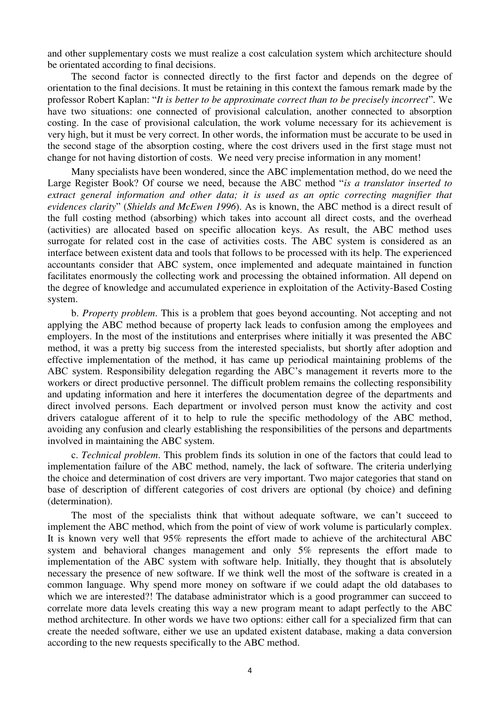and other supplementary costs we must realize a cost calculation system which architecture should be orientated according to final decisions.

The second factor is connected directly to the first factor and depends on the degree of orientation to the final decisions. It must be retaining in this context the famous remark made by the professor Robert Kaplan: "*It is better to be approximate correct than to be precisely incorrect*". We have two situations: one connected of provisional calculation, another connected to absorption costing. In the case of provisional calculation, the work volume necessary for its achievement is very high, but it must be very correct. In other words, the information must be accurate to be used in the second stage of the absorption costing, where the cost drivers used in the first stage must not change for not having distortion of costs. We need very precise information in any moment!

Many specialists have been wondered, since the ABC implementation method, do we need the Large Register Book? Of course we need, because the ABC method "*is a translator inserted to extract general information and other data; it is used as an optic correcting magnifier that evidences clarity*" (*Shields and McEwen 1996*). As is known, the ABC method is a direct result of the full costing method (absorbing) which takes into account all direct costs, and the overhead (activities) are allocated based on specific allocation keys. As result, the ABC method uses surrogate for related cost in the case of activities costs. The ABC system is considered as an interface between existent data and tools that follows to be processed with its help. The experienced accountants consider that ABC system, once implemented and adequate maintained in function facilitates enormously the collecting work and processing the obtained information. All depend on the degree of knowledge and accumulated experience in exploitation of the Activity-Based Costing system.

b. *Property problem*. This is a problem that goes beyond accounting. Not accepting and not applying the ABC method because of property lack leads to confusion among the employees and employers. In the most of the institutions and enterprises where initially it was presented the ABC method, it was a pretty big success from the interested specialists, but shortly after adoption and effective implementation of the method, it has came up periodical maintaining problems of the ABC system. Responsibility delegation regarding the ABC's management it reverts more to the workers or direct productive personnel. The difficult problem remains the collecting responsibility and updating information and here it interferes the documentation degree of the departments and direct involved persons. Each department or involved person must know the activity and cost drivers catalogue afferent of it to help to rule the specific methodology of the ABC method, avoiding any confusion and clearly establishing the responsibilities of the persons and departments involved in maintaining the ABC system.

c. *Technical problem*. This problem finds its solution in one of the factors that could lead to implementation failure of the ABC method, namely, the lack of software. The criteria underlying the choice and determination of cost drivers are very important. Two major categories that stand on base of description of different categories of cost drivers are optional (by choice) and defining (determination).

The most of the specialists think that without adequate software, we can't succeed to implement the ABC method, which from the point of view of work volume is particularly complex. It is known very well that 95% represents the effort made to achieve of the architectural ABC system and behavioral changes management and only 5% represents the effort made to implementation of the ABC system with software help. Initially, they thought that is absolutely necessary the presence of new software. If we think well the most of the software is created in a common language. Why spend more money on software if we could adapt the old databases to which we are interested?! The database administrator which is a good programmer can succeed to correlate more data levels creating this way a new program meant to adapt perfectly to the ABC method architecture. In other words we have two options: either call for a specialized firm that can create the needed software, either we use an updated existent database, making a data conversion according to the new requests specifically to the ABC method.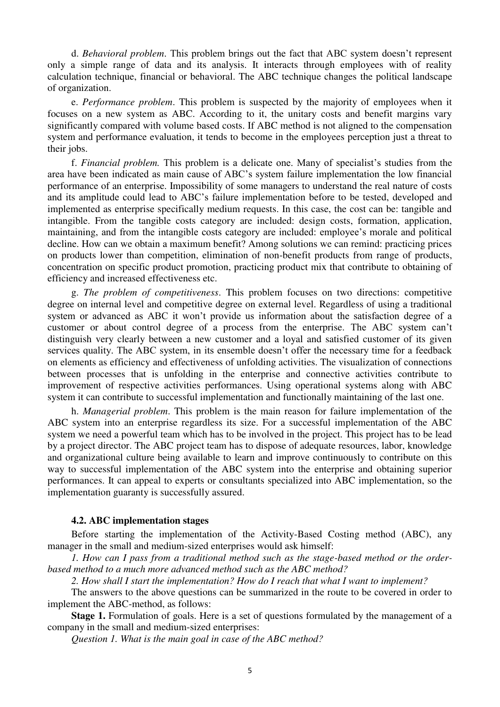d. *Behavioral problem*. This problem brings out the fact that ABC system doesn't represent only a simple range of data and its analysis. It interacts through employees with of reality calculation technique, financial or behavioral. The ABC technique changes the political landscape of organization.

e. *Performance problem*. This problem is suspected by the majority of employees when it focuses on a new system as ABC. According to it, the unitary costs and benefit margins vary significantly compared with volume based costs. If ABC method is not aligned to the compensation system and performance evaluation, it tends to become in the employees perception just a threat to their jobs.

f. *Financial problem.* This problem is a delicate one. Many of specialist's studies from the area have been indicated as main cause of ABC's system failure implementation the low financial performance of an enterprise. Impossibility of some managers to understand the real nature of costs and its amplitude could lead to ABC's failure implementation before to be tested, developed and implemented as enterprise specifically medium requests. In this case, the cost can be: tangible and intangible. From the tangible costs category are included: design costs, formation, application, maintaining, and from the intangible costs category are included: employee's morale and political decline. How can we obtain a maximum benefit? Among solutions we can remind: practicing prices on products lower than competition, elimination of non-benefit products from range of products, concentration on specific product promotion, practicing product mix that contribute to obtaining of efficiency and increased effectiveness etc.

g. *The problem of competitiveness*. This problem focuses on two directions: competitive degree on internal level and competitive degree on external level. Regardless of using a traditional system or advanced as ABC it won't provide us information about the satisfaction degree of a customer or about control degree of a process from the enterprise. The ABC system can't distinguish very clearly between a new customer and a loyal and satisfied customer of its given services quality. The ABC system, in its ensemble doesn't offer the necessary time for a feedback on elements as efficiency and effectiveness of unfolding activities. The visualization of connections between processes that is unfolding in the enterprise and connective activities contribute to improvement of respective activities performances. Using operational systems along with ABC system it can contribute to successful implementation and functionally maintaining of the last one.

h. *Managerial problem*. This problem is the main reason for failure implementation of the ABC system into an enterprise regardless its size. For a successful implementation of the ABC system we need a powerful team which has to be involved in the project. This project has to be lead by a project director. The ABC project team has to dispose of adequate resources, labor, knowledge and organizational culture being available to learn and improve continuously to contribute on this way to successful implementation of the ABC system into the enterprise and obtaining superior performances. It can appeal to experts or consultants specialized into ABC implementation, so the implementation guaranty is successfully assured.

## **4.2. ABC implementation stages**

Before starting the implementation of the Activity-Based Costing method (ABC), any manager in the small and medium-sized enterprises would ask himself:

*1. How can I pass from a traditional method such as the stage-based method or the orderbased method to a much more advanced method such as the ABC method?* 

*2. How shall I start the implementation? How do I reach that what I want to implement?* 

The answers to the above questions can be summarized in the route to be covered in order to implement the ABC-method, as follows:

**Stage 1.** Formulation of goals. Here is a set of questions formulated by the management of a company in the small and medium-sized enterprises:

*Question 1. What is the main goal in case of the ABC method?*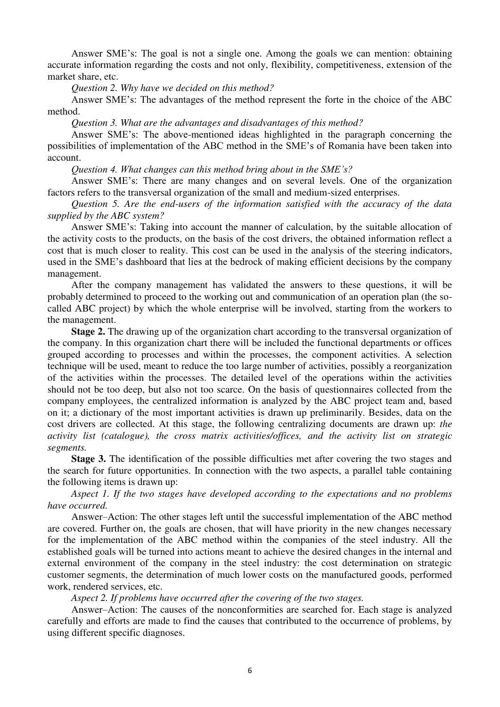Answer SME's: The goal is not a single one. Among the goals we can mention: obtaining accurate information regarding the costs and not only, flexibility, competitiveness, extension of the market share, etc.

*Question 2. Why have we decided on this method?* 

Answer SME's: The advantages of the method represent the forte in the choice of the ABC method.

*Question 3. What are the advantages and disadvantages of this method?* 

Answer SME's: The above-mentioned ideas highlighted in the paragraph concerning the possibilities of implementation of the ABC method in the SME's of Romania have been taken into account.

*Question 4. What changes can this method bring about in the SME's?*

Answer SME's: There are many changes and on several levels. One of the organization factors refers to the transversal organization of the small and medium-sized enterprises.

*Question 5. Are the end-users of the information satisfied with the accuracy of the data supplied by the ABC system?* 

Answer SME's: Taking into account the manner of calculation, by the suitable allocation of the activity costs to the products, on the basis of the cost drivers, the obtained information reflect a cost that is much closer to reality. This cost can be used in the analysis of the steering indicators, used in the SME's dashboard that lies at the bedrock of making efficient decisions by the company management.

After the company management has validated the answers to these questions, it will be probably determined to proceed to the working out and communication of an operation plan (the socalled ABC project) by which the whole enterprise will be involved, starting from the workers to the management.

**Stage 2.** The drawing up of the organization chart according to the transversal organization of the company. In this organization chart there will be included the functional departments or offices grouped according to processes and within the processes, the component activities. A selection technique will be used, meant to reduce the too large number of activities, possibly a reorganization of the activities within the processes. The detailed level of the operations within the activities should not be too deep, but also not too scarce. On the basis of questionnaires collected from the company employees, the centralized information is analyzed by the ABC project team and, based on it; a dictionary of the most important activities is drawn up preliminarily. Besides, data on the cost drivers are collected. At this stage, the following centralizing documents are drawn up: *the activity list (catalogue), the cross matrix activities/offices, and the activity list on strategic segments.* 

**Stage 3.** The identification of the possible difficulties met after covering the two stages and the search for future opportunities. In connection with the two aspects, a parallel table containing the following items is drawn up:

*Aspect 1. If the two stages have developed according to the expectations and no problems have occurred.* 

Answer–Action: The other stages left until the successful implementation of the ABC method are covered. Further on, the goals are chosen, that will have priority in the new changes necessary for the implementation of the ABC method within the companies of the steel industry. All the established goals will be turned into actions meant to achieve the desired changes in the internal and external environment of the company in the steel industry: the cost determination on strategic customer segments, the determination of much lower costs on the manufactured goods, performed work, rendered services, etc.

*Aspect 2. If problems have occurred after the covering of the two stages.* 

Answer–Action: The causes of the nonconformities are searched for. Each stage is analyzed carefully and efforts are made to find the causes that contributed to the occurrence of problems, by using different specific diagnoses.